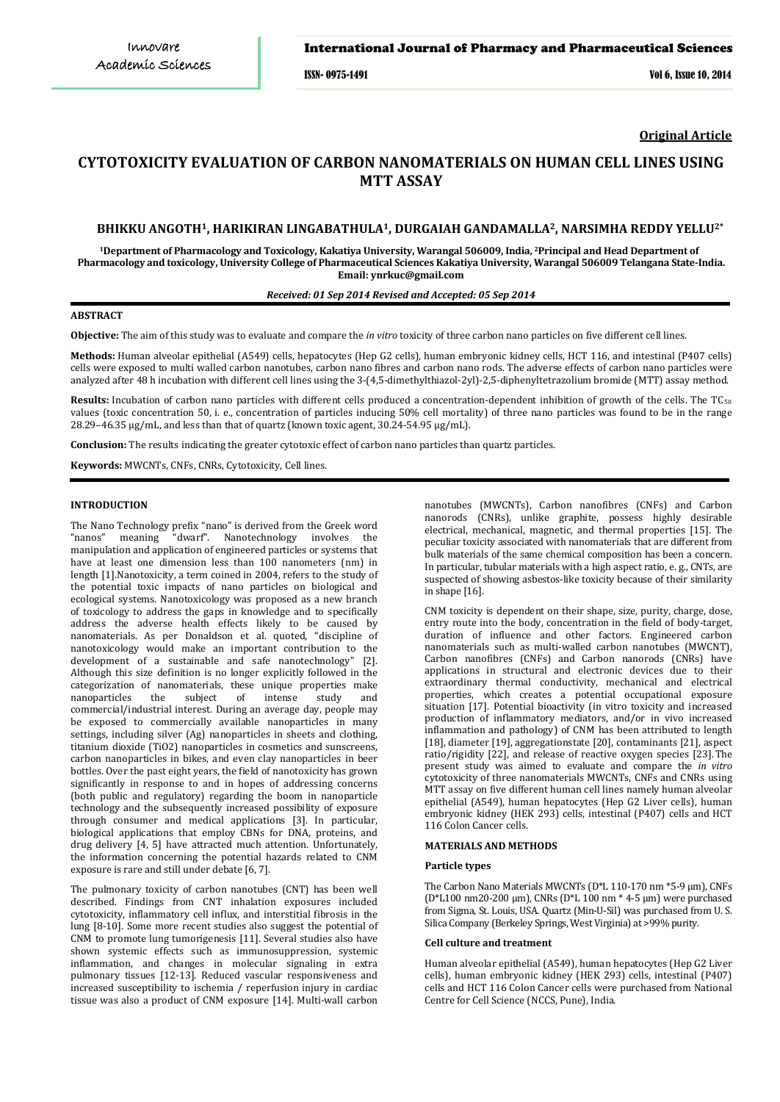# International Journal of Pharmacy and Pharmaceutical Sciences

ISSN- 0975-1491 Vol 6, Issue 10, 2014

# **Original Article**

# **CYTOTOXICITY EVALUATION OF CARBON NANOMATERIALS ON HUMAN CELL LINES USING MTT ASSAY**

# **BHIKKU ANGOTH<sup>1</sup> , HARIKIRAN LINGABATHULA<sup>1</sup> , DURGAIAH GANDAMALLA<sup>2</sup> , NARSIMHA REDDY YELLU2\***

**<sup>1</sup>Department of Pharmacology and Toxicology, Kakatiya University, Warangal 506009, India, <sup>2</sup>Principal and Head Department of Pharmacology and toxicology, University College of Pharmaceutical Sciences Kakatiya University, Warangal 506009 Telangana State-India. Email: ynrkuc@gmail.com**

# *Received: 01 Sep 2014 Revised and Accepted: 05 Sep 2014*

# **ABSTRACT**

**Objective:** The aim of this study was to evaluate and compare the *in vitro* toxicity of three carbon nano particles on five different cell lines.

**Methods:** Human alveolar epithelial (A549) cells, hepatocytes (Hep G2 cells), human embryonic kidney cells, HCT 116, and intestinal (P407 cells) cells were exposed to multi walled carbon nanotubes, carbon nano fibres and carbon nano rods. The adverse effects of carbon nano particles were analyzed after 48 h incubation with different cell lines using the 3-(4,5-dimethylthiazol-2yl)-2,5-diphenyltetrazolium bromide (MTT) assay method.

**Results:** Incubation of carbon nano particles with different cells produced a concentration-dependent inhibition of growth of the cells. The TC<sub>50</sub> values (toxic concentration 50, i. e., concentration of particles inducing 50% cell mortality) of three nano particles was found to be in the range 28.29–46.35 µg/mL, and less than that of quartz (known toxic agent, 30.24-54.95 µg/mL).

**Conclusion:** The results indicating the greater cytotoxic effect of carbon nano particles than quartz particles.

**Keywords:** MWCNTs, CNFs, CNRs, Cytotoxicity, Cell lines.

#### **INTRODUCTION**

The Nano Technology prefix "nano" is derived from the Greek word "nanos" meaning "dwarf". Nanotechnology involves the manipulation and application of engineered particles or systems that have at least one dimension less than 100 nanometers (nm) in length [1].Nanotoxicity, a term coined in 2004, refers to the study of the potential toxic impacts of nano particles on biological and ecological systems. Nanotoxicology was proposed as a new branch of toxicology to address the gaps in knowledge and to specifically address the adverse health effects likely to be caused by nanomaterials. As per Donaldson et al. quoted, "discipline of nanotoxicology would make an important contribution to the development of a sustainable and safe nanotechnology" [2]. development of a sustainable and safe nanotechnology" Although this size definition is no longer explicitly followed in the categorization of nanomaterials, these unique properties make<br>nanoparticles the subject of intense study and nanoparticles the subject of intense study and commercial/industrial interest. During an average day, people may be exposed to commercially available nanoparticles in many settings, including silver (Ag) nanoparticles in sheets and clothing, titanium dioxide (TiO2) nanoparticles in cosmetics and sunscreens, carbon nanoparticles in bikes, and even clay nanoparticles in beer bottles. Over the past eight years, the field of nanotoxicity has grown significantly in response to and in hopes of addressing concerns (both public and regulatory) regarding the boom in nanoparticle technology and the subsequently increased possibility of exposure through consumer and medical applications [3]. In particular, biological applications that employ CBNs for DNA, proteins, and drug delivery [4, 5] have attracted much attention. Unfortunately, the information concerning the potential hazards related to CNM exposure is rare and still under debate [6, 7].

The pulmonary toxicity of carbon nanotubes (CNT) has been well described. Findings from CNT inhalation exposures included cytotoxicity, inflammatory cell influx, and interstitial fibrosis in the lung [8-10]. Some more recent studies also suggest the potential of CNM to promote lung tumorigenesis [11]. Several studies also have shown systemic effects such as immunosuppression, systemic inflammation, and changes in molecular signaling in extra pulmonary tissues [12-13]. Reduced vascular responsiveness and increased susceptibility to ischemia / reperfusion injury in cardiac tissue was also a product of CNM exposure [14]. Multi-wall carbon

nanotubes (MWCNTs), Carbon nanofibres (CNFs) and Carbon nanorods (CNRs), unlike graphite, possess highly desirable electrical, mechanical, magnetic, and thermal properties [15]. The peculiar toxicity associated with nanomaterials that are different from bulk materials of the same chemical composition has been a concern. In particular, tubular materials with a high aspect ratio, e. g., CNTs, are suspected of showing asbestos-like toxicity because of their similarity in shape [16].

CNM toxicity is dependent on their shape, size, purity, charge, dose, entry route into the body, concentration in the field of body-target, duration of influence and other factors. Engineered carbon nanomaterials such as multi-walled carbon nanotubes (MWCNT), Carbon nanofibres (CNFs) and Carbon nanorods (CNRs) have applications in structural and electronic devices due to their extraordinary thermal conductivity, mechanical and electrical properties, which creates a potential occupational exposure situation [17]. Potential bioactivity (in vitro toxicity and increased production of inflammatory mediators, and/or in vivo increased inflammation and pathology) of CNM has been attributed to length [18], diameter [19], aggregationstate [20], contaminants [21], aspect ratio/rigidity [22], and release of reactive oxygen species [23]. The present study was aimed to evaluate and compare the *in vitro*  cytotoxicity of three nanomaterials MWCNTs, CNFs and CNRs using MTT assay on five different human cell lines namely human alveolar epithelial (A549), human hepatocytes (Hep G2 Liver cells), human embryonic kidney (HEK 293) cells, intestinal (P407) cells and HCT 116 Colon Cancer cells.

#### **MATERIALS AND METHODS**

#### **Particle types**

The Carbon Nano Materials MWCNTs (D\*L 110-170 nm \*5-9 µm), CNFs (D\*L100 nm20-200 µm), CNRs (D\*L 100 nm \* 4-5 µm) were purchased from Sigma, St. Louis, USA. Quartz (Min-U-Sil) was purchased from U. S. Silica Company (Berkeley Springs, West Virginia) at >99% purity.

### **Cell culture and treatment**

Human alveolar epithelial (A549), human hepatocytes (Hep G2 Liver cells), human embryonic kidney (HEK 293) cells, intestinal (P407) cells and HCT 116 Colon Cancer cells were purchased from National Centre for Cell Science (NCCS, Pune), India.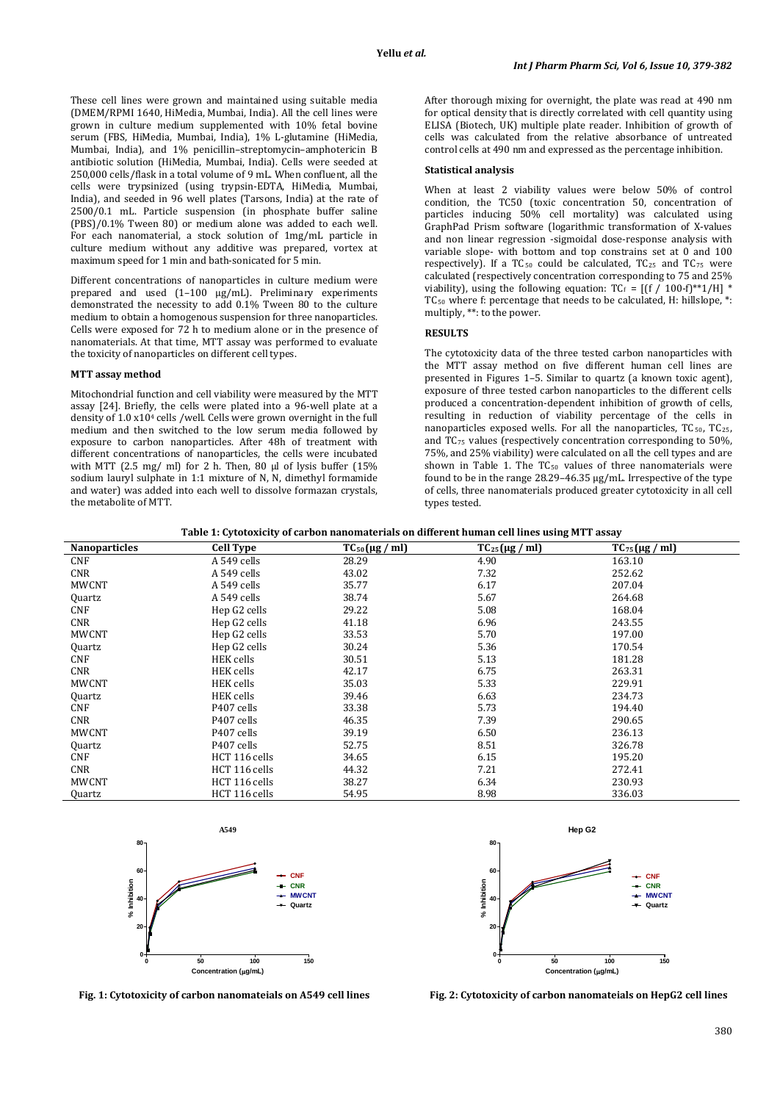These cell lines were grown and maintained using suitable media (DMEM/RPMI 1640, HiMedia, Mumbai, India). All the cell lines were grown in culture medium supplemented with 10% fetal bovine serum (FBS, HiMedia, Mumbai, India), 1% L-glutamine (HiMedia, Mumbai, India), and 1% penicillin–streptomycin–amphotericin B antibiotic solution (HiMedia, Mumbai, India). Cells were seeded at 250,000 cells/flask in a total volume of 9 mL. When confluent, all the cells were trypsinized (using trypsin-EDTA, HiMedia, Mumbai, India), and seeded in 96 well plates (Tarsons, India) at the rate of 2500/0.1 mL. Particle suspension (in phosphate buffer saline (PBS)/0.1% Tween 80) or medium alone was added to each well. For each nanomaterial, a stock solution of 1mg/mL particle in culture medium without any additive was prepared, vortex at maximum speed for 1 min and bath-sonicated for 5 min.

Different concentrations of nanoparticles in culture medium were prepared and used (1–100 µg/mL). Preliminary experiments demonstrated the necessity to add 0.1% Tween 80 to the culture medium to obtain a homogenous suspension for three nanoparticles. Cells were exposed for 72 h to medium alone or in the presence of nanomaterials. At that time, MTT assay was performed to evaluate the toxicity of nanoparticles on different cell types.

#### **MTT assay method**

Mitochondrial function and cell viability were measured by the MTT assay [24]. Briefly, the cells were plated into a 96-well plate at a density of 1.0 x104 cells /well. Cells were grown overnight in the full medium and then switched to the low serum media followed by exposure to carbon nanoparticles. After 48h of treatment with different concentrations of nanoparticles, the cells were incubated with MTT (2.5 mg/ ml) for 2 h. Then, 80 µl of lysis buffer (15% sodium lauryl sulphate in 1:1 mixture of N, N, dimethyl formamide and water) was added into each well to dissolve formazan crystals, the metabolite of MTT.

After thorough mixing for overnight, the plate was read at 490 nm for optical density that is directly correlated with cell quantity using ELISA (Biotech, UK) multiple plate reader. Inhibition of growth of cells was calculated from the relative absorbance of untreated control cells at 490 nm and expressed as the percentage inhibition.

#### **Statistical analysis**

When at least 2 viability values were below 50% of control condition, the TC50 (toxic concentration 50, concentration of particles inducing 50% cell mortality) was calculated using GraphPad Prism software (logarithmic transformation of X-values and non linear regression -sigmoidal dose-response analysis with variable slope- with bottom and top constrains set at 0 and 100 respectively). If a TC<sub>50</sub> could be calculated, TC<sub>25</sub> and TC<sub>75</sub> were calculated (respectively concentration corresponding to 75 and 25% viability), using the following equation:  $TC_f = [(f / 100-f)*1/H]$  \*  $TC_{50}$  where f: percentage that needs to be calculated, H: hillslope,  $\ddot{\ }$ : multiply, \*\*: to the power.

# **RESULTS**

The cytotoxicity data of the three tested carbon nanoparticles with the MTT assay method on five different human cell lines are presented in Figures 1–5. Similar to quartz (a known toxic agent), exposure of three tested carbon nanoparticles to the different cells produced a concentration-dependent inhibition of growth of cells, resulting in reduction of viability percentage of the cells in nanoparticles exposed wells. For all the nanoparticles,  $TC_{50}$ ,  $TC_{25}$ , and  $TC_{75}$  values (respectively concentration corresponding to 50%, 75%, and 25% viability) were calculated on all the cell types and are shown in Table 1. The  $TC_{50}$  values of three nanomaterials were found to be in the range 28.29–46.35 µg/mL. Irrespective of the type of cells, three nanomaterials produced greater cytotoxicity in all cell types tested.

**Table 1: Cytotoxicity of carbon nanomaterials on different human cell lines using MTT assay**

| <b>Nanoparticles</b> | <b>Cell Type</b> | $TC_{50}(\mu g / ml)$ | $TC_{25}(\mu g / ml)$ | $TC_{75}(\mu g / ml)$ |  |
|----------------------|------------------|-----------------------|-----------------------|-----------------------|--|
| <b>CNF</b>           | A 549 cells      | 28.29                 | 4.90                  | 163.10                |  |
| <b>CNR</b>           | A 549 cells      | 43.02                 | 7.32                  | 252.62                |  |
| <b>MWCNT</b>         | A 549 cells      | 35.77                 | 6.17                  | 207.04                |  |
| Quartz               | A 549 cells      | 38.74                 | 5.67                  | 264.68                |  |
| <b>CNF</b>           | Hep G2 cells     | 29.22                 | 5.08                  | 168.04                |  |
| <b>CNR</b>           | Hep G2 cells     | 41.18                 | 6.96                  | 243.55                |  |
| <b>MWCNT</b>         | Hep G2 cells     | 33.53                 | 5.70                  | 197.00                |  |
| <b>Quartz</b>        | Hep G2 cells     | 30.24                 | 5.36                  | 170.54                |  |
| <b>CNF</b>           | HEK cells        | 30.51                 | 5.13                  | 181.28                |  |
| <b>CNR</b>           | HEK cells        | 42.17                 | 6.75                  | 263.31                |  |
| <b>MWCNT</b>         | HEK cells        | 35.03                 | 5.33                  | 229.91                |  |
| <b>Quartz</b>        | HEK cells        | 39.46                 | 6.63                  | 234.73                |  |
| <b>CNF</b>           | P407 cells       | 33.38                 | 5.73                  | 194.40                |  |
| <b>CNR</b>           | P407 cells       | 46.35                 | 7.39                  | 290.65                |  |
| <b>MWCNT</b>         | P407 cells       | 39.19                 | 6.50                  | 236.13                |  |
| Quartz               | P407 cells       | 52.75                 | 8.51                  | 326.78                |  |
| <b>CNF</b>           | HCT 116 cells    | 34.65                 | 6.15                  | 195.20                |  |
| <b>CNR</b>           | HCT 116 cells    | 44.32                 | 7.21                  | 272.41                |  |
| <b>MWCNT</b>         | HCT 116 cells    | 38.27                 | 6.34                  | 230.93                |  |
| Quartz               | HCT 116 cells    | 54.95                 | 8.98                  | 336.03                |  |



**Fig. 1: Cytotoxicity of carbon nanomateials on A549 cell lines**



**Fig. 2: Cytotoxicity of carbon nanomateials on HepG2 cell lines**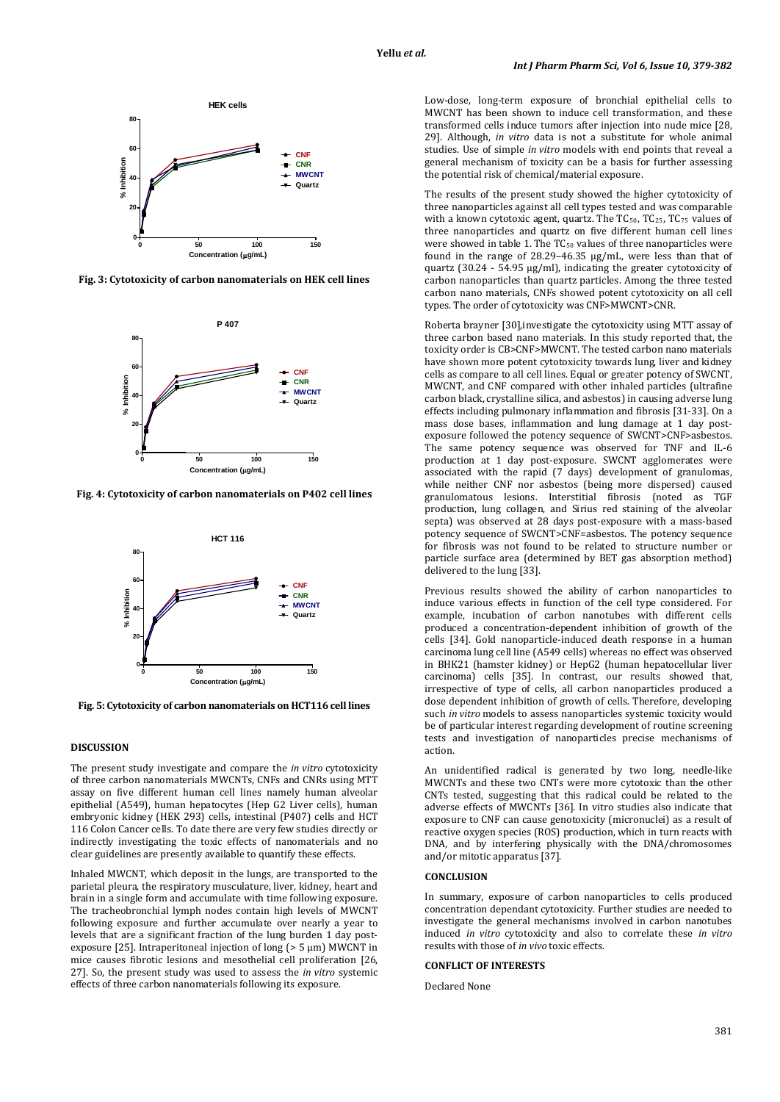

**Fig. 3: Cytotoxicity of carbon nanomaterials on HEK cell lines**



**Fig. 4: Cytotoxicity of carbon nanomaterials on P402 cell lines**



**Fig. 5: Cytotoxicity of carbon nanomaterials on HCT116 cell lines**

#### **DISCUSSION**

The present study investigate and compare the *in vitro* cytotoxicity of three carbon nanomaterials MWCNTs, CNFs and CNRs using MTT assay on five different human cell lines namely human alveolar epithelial (A549), human hepatocytes (Hep G2 Liver cells), human embryonic kidney (HEK 293) cells, intestinal (P407) cells and HCT 116 Colon Cancer cells. To date there are very few studies directly or indirectly investigating the toxic effects of nanomaterials and no clear guidelines are presently available to quantify these effects.

Inhaled MWCNT, which deposit in the lungs, are transported to the parietal pleura, the respiratory musculature, liver, kidney, heart and brain in a single form and accumulate with time following exposure. The tracheobronchial lymph nodes contain high levels of MWCNT following exposure and further accumulate over nearly a year to levels that are a significant fraction of the lung burden 1 day postexposure [25]. Intraperitoneal injection of long (> 5 μm) MWCNT in mice causes fibrotic lesions and mesothelial cell proliferation [26, 27]. So, the present study was used to assess the *in vitro* systemic effects of three carbon nanomaterials following its exposure.

Low-dose, long-term exposure of bronchial epithelial cells to MWCNT has been shown to induce cell transformation, and these transformed cells induce tumors after injection into nude mice [28, 29]. Although, *in vitro* data is not a substitute for whole animal studies. Use of simple *in vitro* models with end points that reveal a general mechanism of toxicity can be a basis for further assessing the potential risk of chemical/material exposure.

The results of the present study showed the higher cytotoxicity of three nanoparticles against all cell types tested and was comparable with a known cytotoxic agent, quartz. The TC<sub>50</sub>, TC<sub>25</sub>, TC<sub>75</sub> values of three nanoparticles and quartz on five different human cell lines were showed in table  $1.$  The TC $_{50}$  values of three nanoparticles were found in the range of 28.29–46.35 µg/mL, were less than that of quartz (30.24 - 54.95 µg/ml), indicating the greater cytotoxicity of carbon nanoparticles than quartz particles. Among the three tested carbon nano materials, CNFs showed potent cytotoxicity on all cell types. The order of cytotoxicity was CNF>MWCNT>CNR.

Roberta brayner [30],investigate the cytotoxicity using MTT assay of three carbon based nano materials. In this study reported that, the toxicity order is CB>CNF>MWCNT. The tested carbon nano materials have shown more potent cytotoxicity towards lung, liver and kidney cells as compare to all cell lines. Equal or greater potency of SWCNT, MWCNT, and CNF compared with other inhaled particles (ultrafine carbon black, crystalline silica, and asbestos) in causing adverse lung effects including pulmonary inflammation and fibrosis [31-33]. On a mass dose bases, inflammation and lung damage at 1 day postexposure followed the potency sequence of SWCNT>CNF>asbestos. The same potency sequence was observed for TNF and IL-6 production at 1 day post-exposure. SWCNT agglomerates were associated with the rapid (7 days) development of granulomas, while neither CNF nor asbestos (being more dispersed) caused granulomatous lesions. Interstitial fibrosis (noted as TGF production, lung collagen, and Sirius red staining of the alveolar septa) was observed at 28 days post-exposure with a mass-based potency sequence of SWCNT>CNF=asbestos. The potency sequence for fibrosis was not found to be related to structure number or particle surface area (determined by BET gas absorption method) delivered to the lung [33].

Previous results showed the ability of carbon nanoparticles to induce various effects in function of the cell type considered. For example, incubation of carbon nanotubes with different cells produced a concentration-dependent inhibition of growth of the cells [34]. Gold nanoparticle-induced death response in a human carcinoma lung cell line (A549 cells) whereas no effect was observed in BHK21 (hamster kidney) or HepG2 (human hepatocellular liver carcinoma) cells [35]. In contrast, our results showed that, irrespective of type of cells, all carbon nanoparticles produced a dose dependent inhibition of growth of cells. Therefore, developing such *in vitro* models to assess nanoparticles systemic toxicity would be of particular interest regarding development of routine screening tests and investigation of nanoparticles precise mechanisms of action.

An unidentified radical is generated by two long, needle-like MWCNTs and these two CNTs were more cytotoxic than the other CNTs tested, suggesting that this radical could be related to the adverse effects of MWCNTs [36]. In vitro studies also indicate that exposure to CNF can cause genotoxicity (micronuclei) as a result of reactive oxygen species (ROS) production, which in turn reacts with DNA, and by interfering physically with the DNA/chromosomes and/or mitotic apparatus [37].

#### **CONCLUSION**

In summary, exposure of carbon nanoparticles to cells produced concentration dependant cytotoxicity. Further studies are needed to investigate the general mechanisms involved in carbon nanotubes induced *in vitro* cytotoxicity and also to correlate these *in vitro*  results with those of *in vivo* toxic effects.

# **CONFLICT OF INTERESTS**

Declared None